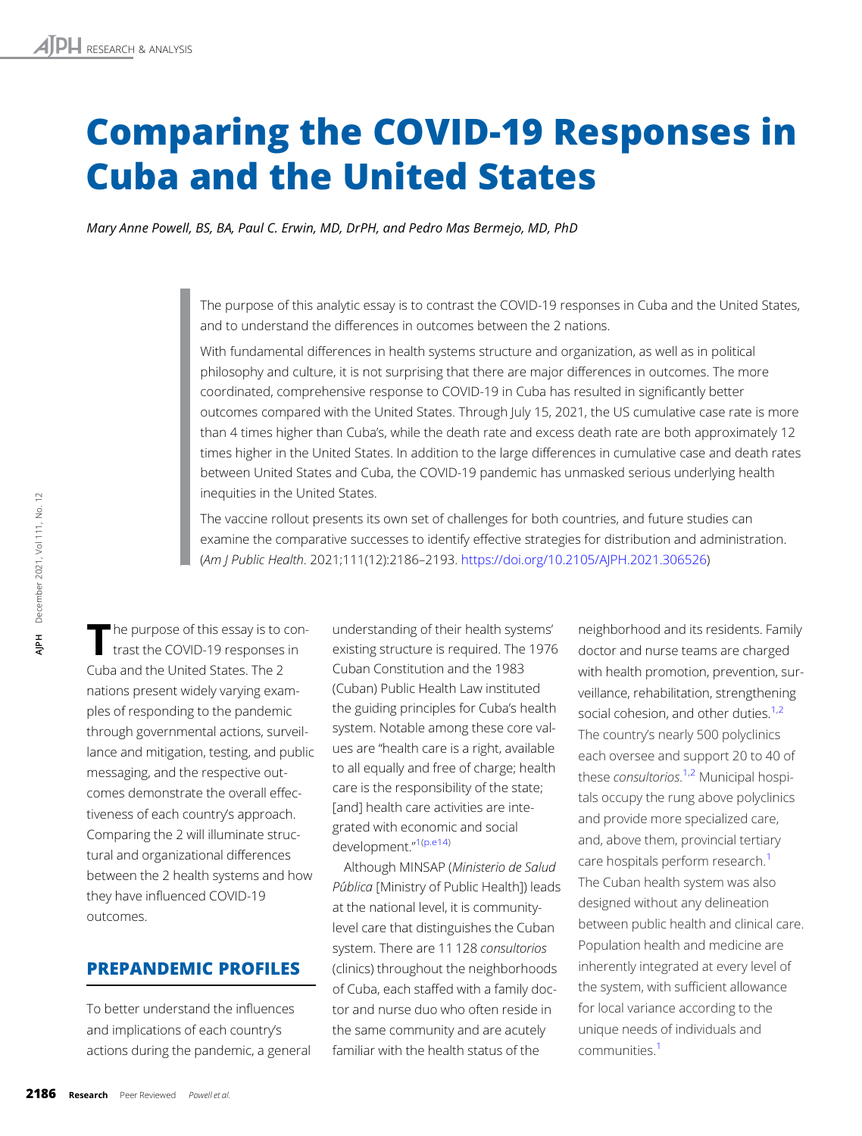# Comparing the COVID-19 Responses in Cuba and the United States

Mary Anne Powell, BS, BA, Paul C. Erwin, MD, DrPH, and Pedro Mas Bermejo, MD, PhD

The purpose of this analytic essay is to contrast the COVID-19 responses in Cuba and the United States, and to understand the differences in outcomes between the 2 nations.

With fundamental differences in health systems structure and organization, as well as in political philosophy and culture, it is not surprising that there are major differences in outcomes. The more coordinated, comprehensive response to COVID-19 in Cuba has resulted in significantly better outcomes compared with the United States. Through July 15, 2021, the US cumulative case rate is more than 4 times higher than Cuba's, while the death rate and excess death rate are both approximately 12 times higher in the United States. In addition to the large differences in cumulative case and death rates between United States and Cuba, the COVID-19 pandemic has unmasked serious underlying health inequities in the United States.

The vaccine rollout presents its own set of challenges for both countries, and future studies can examine the comparative successes to identify effective strategies for distribution and administration. (Am J Public Health. 2021;111(12):2186–2193. <https://doi.org/10.2105/AJPH.2021.306526>)

The purpose of this essay is to con-<br>trast the COVID-19 responses in Cuba and the United States. The 2 nations present widely varying examples of responding to the pandemic through governmental actions, surveillance and mitigation, testing, and public messaging, and the respective outcomes demonstrate the overall effectiveness of each country's approach. Comparing the 2 will illuminate structural and organizational differences between the 2 health systems and how they have influenced COVID-19 outcomes.

## PREPANDEMIC PROFILES

To better understand the influences and implications of each country's actions during the pandemic, a general understanding of their health systems' existing structure is required. The 1976 Cuban Constitution and the 1983 (Cuban) Public Health Law instituted the guiding principles for Cuba's health system. Notable among these core values are "health care is a right, available to all equally and free of charge; health care is the responsibility of the state; [and] health care activities are integrated with economic and social development."<sup>[1](#page-6-0)[\(p.e14\)](#page-7-0)</sup>

Although MINSAP (Ministerio de Salud Pública [Ministry of Public Health]) leads at the national level, it is communitylevel care that distinguishes the Cuban system. There are 11 128 consultorios (clinics) throughout the neighborhoods of Cuba, each staffed with a family doctor and nurse duo who often reside in the same community and are acutely familiar with the health status of the

neighborhood and its residents. Family doctor and nurse teams are charged with health promotion, prevention, surveillance, rehabilitation, strengthening social cohesion, and other duties.<sup>1,2</sup> The country's nearly 500 polyclinics each oversee and support 20 to 40 of these *consultorios*.<sup>[1](#page-6-0),[2](#page-6-0)</sup> Municipal hospitals occupy the rung above polyclinics and provide more specialized care, and, above them, provincial tertiary care hospitals perform research.<sup>1</sup> The Cuban health system was also designed without any delineation between public health and clinical care. Population health and medicine are inherently integrated at every level of the system, with sufficient allowance for local variance according to the unique needs of individuals and communities[.1](#page-6-0)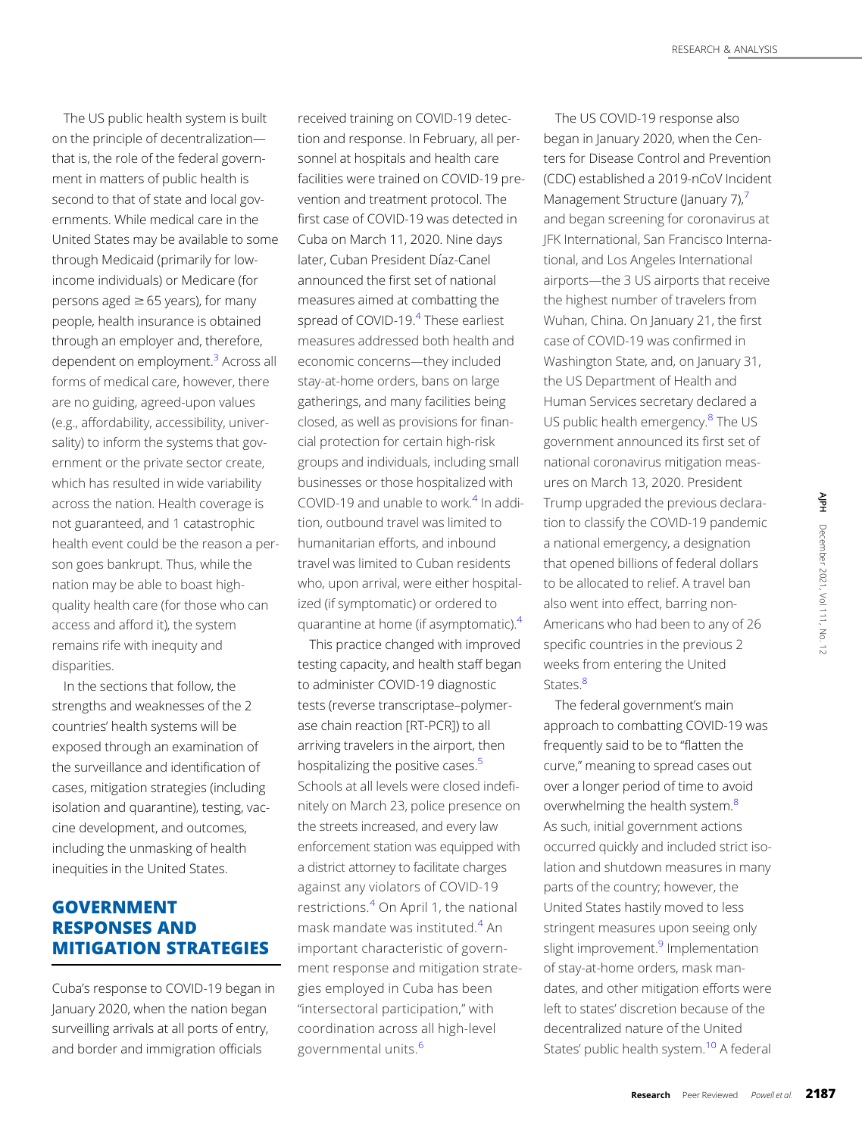The US public health system is built on the principle of decentralization that is, the role of the federal government in matters of public health is second to that of state and local governments. While medical care in the United States may be available to some through Medicaid (primarily for lowincome individuals) or Medicare (for persons aged  $\geq 65$  years), for many people, health insurance is obtained through an employer and, therefore, dependent on employment.<sup>3</sup> Across all forms of medical care, however, there are no guiding, agreed-upon values (e.g., affordability, accessibility, universality) to inform the systems that government or the private sector create, which has resulted in wide variability across the nation. Health coverage is not guaranteed, and 1 catastrophic health event could be the reason a person goes bankrupt. Thus, while the nation may be able to boast highquality health care (for those who can access and afford it), the system remains rife with inequity and disparities.

In the sections that follow, the strengths and weaknesses of the 2 countries' health systems will be exposed through an examination of the surveillance and identification of cases, mitigation strategies (including isolation and quarantine), testing, vaccine development, and outcomes, including the unmasking of health inequities in the United States.

## GOVERNMENT RESPONSES AND MITIGATION STRATEGIES

Cuba's response to COVID-19 began in January 2020, when the nation began surveilling arrivals at all ports of entry, and border and immigration officials

received training on COVID-19 detection and response. In February, all personnel at hospitals and health care facilities were trained on COVID-19 prevention and treatment protocol. The first case of COVID-19 was detected in Cuba on March 11, 2020. Nine days later, Cuban President Dıaz-Canel announced the first set of national measures aimed at combatting the spread of COVID-19.<sup>4</sup> These earliest measures addressed both health and economic concerns—they included stay-at-home orders, bans on large gatherings, and many facilities being closed, as well as provisions for financial protection for certain high-risk groups and individuals, including small businesses or those hospitalized with COVID-19 and unable to work. $4$  In addition, outbound travel was limited to humanitarian efforts, and inbound travel was limited to Cuban residents who, upon arrival, were either hospitalized (if symptomatic) or ordered to quarantine at home (if asymptomatic).<sup>4</sup>

This practice changed with improved testing capacity, and health staff began to administer COVID-19 diagnostic tests (reverse transcriptase–polymerase chain reaction [RT-PCR]) to all arriving travelers in the airport, then hospitalizing the positive cases.<sup>5</sup> Schools at all levels were closed indefinitely on March 23, police presence on the streets increased, and every law enforcement station was equipped with a district attorney to facilitate charges against any violators of COVID-19 restrictions.[4](#page-6-0) On April 1, the national mask mandate was instituted.[4](#page-6-0) An important characteristic of government response and mitigation strategies employed in Cuba has been "intersectoral participation," with coordination across all high-level governmental units.<sup>[6](#page-6-0)</sup>

The US COVID-19 response also began in January 2020, when the Centers for Disease Control and Prevention (CDC) established a 2019-nCoV Incident Management Structure (January [7](#page-6-0)),<sup>7</sup> and began screening for coronavirus at JFK International, San Francisco International, and Los Angeles International airports—the 3 US airports that receive the highest number of travelers from Wuhan, China. On January 21, the first case of COVID-19 was confirmed in Washington State, and, on January 31, the US Department of Health and Human Services secretary declared a US public health emergency. $8$  The US government announced its first set of national coronavirus mitigation measures on March 13, 2020. President Trump upgraded the previous declaration to classify the COVID-19 pandemic a national emergency, a designation that opened billions of federal dollars to be allocated to relief. A travel ban also went into effect, barring non-Americans who had been to any of 26 specific countries in the previous 2 weeks from entering the United States<sup>8</sup>

The federal government's main approach to combatting COVID-19 was frequently said to be to "flatten the curve," meaning to spread cases out over a longer period of time to avoid overwhelming the health system.<sup>8</sup> As such, initial government actions occurred quickly and included strict isolation and shutdown measures in many parts of the country; however, the United States hastily moved to less stringent measures upon seeing only slight improvement.<sup>[9](#page-7-0)</sup> Implementation of stay-at-home orders, mask mandates, and other mitigation efforts were left to states' discretion because of the decentralized nature of the United States' public health system.<sup>10</sup> A federal Example 1 at the previous declarable COVID-19 pandemic<br>the COVID-19 pandemic<br>gency, a designation<br>lions of federal dollars<br>to relief. A travel ban<br>freed, barring non-<br>had been to any of 26<br>es in the previous 2<br>cering the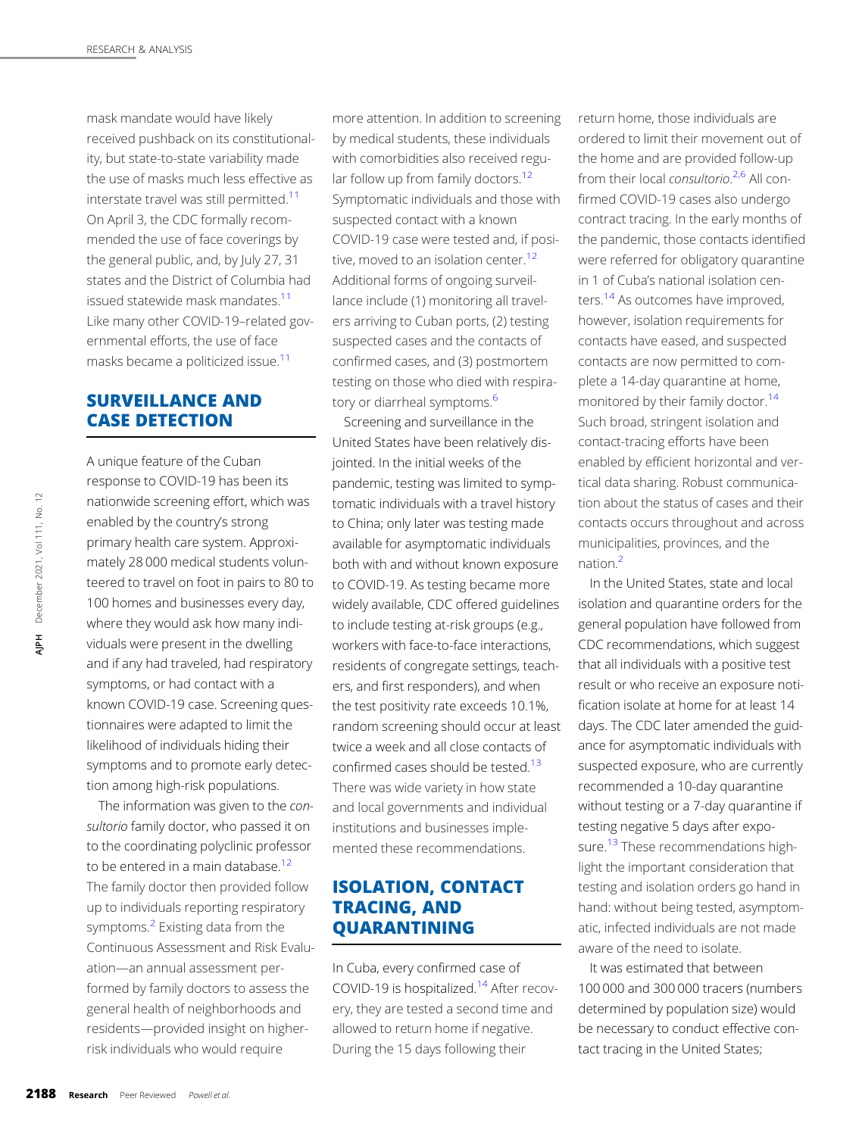mask mandate would have likely received pushback on its constitutionality, but state-to-state variability made the use of masks much less effective as interstate travel was still permitted.<sup>[11](#page-7-0)</sup> On April 3, the CDC formally recommended the use of face coverings by the general public, and, by July 27, 31 states and the District of Columbia had issued statewide mask mandates[.11](#page-7-0) Like many other COVID-19–related governmental efforts, the use of face masks became a politicized issue.<sup>[11](#page-7-0)</sup>

# SURVEILLANCE AND CASE DETECTION

A unique feature of the Cuban response to COVID-19 has been its nationwide screening effort, which was enabled by the country's strong primary health care system. Approximately 28 000 medical students volunteered to travel on foot in pairs to 80 to 100 homes and businesses every day, where they would ask how many individuals were present in the dwelling and if any had traveled, had respiratory symptoms, or had contact with a known COVID-19 case. Screening questionnaires were adapted to limit the likelihood of individuals hiding their symptoms and to promote early detection among high-risk populations. mationwide screening eff<br>
enabled by the country's<br>
primary health care syste<br>
mately 28 000 medical st<br>
teered to travel on foot ir<br>
100 homes and business<br>
where they would ask ho<br>
viduals were present in th<br>
and if any

The information was given to the consultorio family doctor, who passed it on to the coordinating polyclinic professor to be entered in a main database. $12$ The family doctor then provided follow up to individuals reporting respiratory symptoms.<sup>2</sup> Existing data from the Continuous Assessment and Risk Evaluation—an annual assessment performed by family doctors to assess the general health of neighborhoods and residents—provided insight on higherrisk individuals who would require

more attention. In addition to screening by medical students, these individuals with comorbidities also received regular follow up from family doctors. $12$ Symptomatic individuals and those with suspected contact with a known COVID-19 case were tested and, if posi-tive, moved to an isolation center.<sup>[12](#page-7-0)</sup> Additional forms of ongoing surveillance include (1) monitoring all travelers arriving to Cuban ports, (2) testing suspected cases and the contacts of confirmed cases, and (3) postmortem testing on those who died with respiratory or diarrheal symptoms.<sup>6</sup>

Screening and surveillance in the United States have been relatively disjointed. In the initial weeks of the pandemic, testing was limited to symptomatic individuals with a travel history to China; only later was testing made available for asymptomatic individuals both with and without known exposure to COVID-19. As testing became more widely available, CDC offered guidelines to include testing at-risk groups (e.g., workers with face-to-face interactions, residents of congregate settings, teachers, and first responders), and when the test positivity rate exceeds 10.1%, random screening should occur at least twice a week and all close contacts of confirmed cases should be tested.<sup>13</sup> There was wide variety in how state and local governments and individual institutions and businesses implemented these recommendations.

# ISOLATION, CONTACT TRACING, AND QUARANTINING

In Cuba, every confirmed case of COVID-19 is hospitalized.<sup>[14](#page-7-0)</sup> After recovery, they are tested a second time and allowed to return home if negative. During the 15 days following their

return home, those individuals are ordered to limit their movement out of the home and are provided follow-up from their local consultorio.<sup>[2,6](#page-6-0)</sup> All confirmed COVID-19 cases also undergo contract tracing. In the early months of the pandemic, those contacts identified were referred for obligatory quarantine in 1 of Cuba's national isolation centers[.14](#page-7-0) As outcomes have improved, however, isolation requirements for contacts have eased, and suspected contacts are now permitted to complete a 14-day quarantine at home, monitored by their family doctor.<sup>14</sup> Such broad, stringent isolation and contact-tracing efforts have been enabled by efficient horizontal and vertical data sharing. Robust communication about the status of cases and their contacts occurs throughout and across municipalities, provinces, and the nation.[2](#page-6-0)

In the United States, state and local isolation and quarantine orders for the general population have followed from CDC recommendations, which suggest that all individuals with a positive test result or who receive an exposure notification isolate at home for at least 14 days. The CDC later amended the guidance for asymptomatic individuals with suspected exposure, who are currently recommended a 10-day quarantine without testing or a 7-day quarantine if testing negative 5 days after exposure.<sup>13</sup> These recommendations highlight the important consideration that testing and isolation orders go hand in hand: without being tested, asymptomatic, infected individuals are not made aware of the need to isolate.

It was estimated that between 100 000 and 300 000 tracers (numbers determined by population size) would be necessary to conduct effective contact tracing in the United States;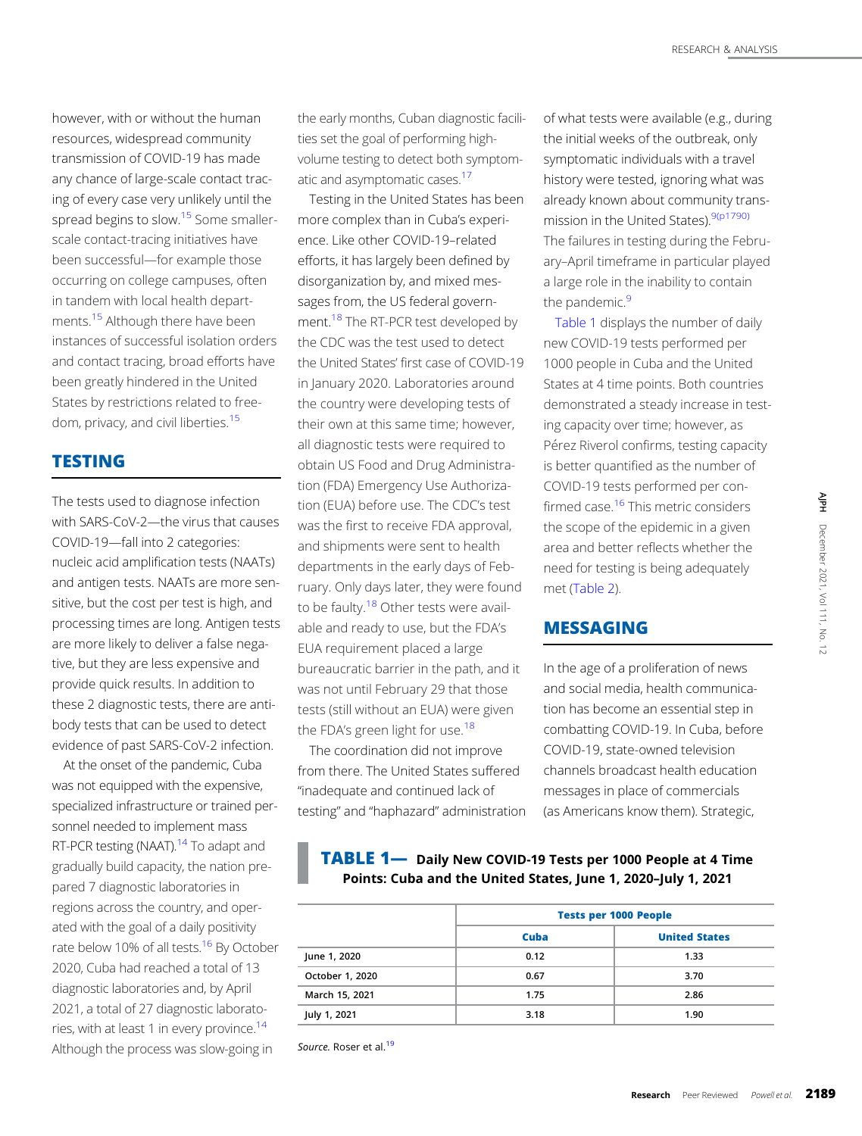however, with or without the human resources, widespread community transmission of COVID-19 has made any chance of large-scale contact tracing of every case very unlikely until the spread begins to slow.<sup>15</sup> Some smallerscale contact-tracing initiatives have been successful—for example those occurring on college campuses, often in tandem with local health departments.<sup>15</sup> Although there have been instances of successful isolation orders and contact tracing, broad efforts have been greatly hindered in the United States by restrictions related to free-dom, privacy, and civil liberties.<sup>[15](#page-7-0)</sup>

## **TESTING**

The tests used to diagnose infection with SARS-CoV-2—the virus that causes COVID-19—fall into 2 categories: nucleic acid amplification tests (NAATs) and antigen tests. NAATs are more sensitive, but the cost per test is high, and processing times are long. Antigen tests are more likely to deliver a false negative, but they are less expensive and provide quick results. In addition to these 2 diagnostic tests, there are antibody tests that can be used to detect evidence of past SARS-CoV-2 infection.

At the onset of the pandemic, Cuba was not equipped with the expensive, specialized infrastructure or trained personnel needed to implement mass RT-PCR testing (NAAT).<sup>14</sup> To adapt and gradually build capacity, the nation prepared 7 diagnostic laboratories in regions across the country, and operated with the goal of a daily positivity rate below 10% of all tests.<sup>16</sup> By October 2020, Cuba had reached a total of 13 diagnostic laboratories and, by April 2021, a total of 27 diagnostic laboratories, with at least 1 in every province.<sup>14</sup> Although the process was slow-going in

the early months, Cuban diagnostic facilities set the goal of performing highvolume testing to detect both symptom-atic and asymptomatic cases.<sup>[17](#page-7-0)</sup>

Testing in the United States has been more complex than in Cuba's experience. Like other COVID-19–related efforts, it has largely been defined by disorganization by, and mixed messages from, the US federal government.<sup>18</sup> The RT-PCR test developed by the CDC was the test used to detect the United States' first case of COVID-19 in January 2020. Laboratories around the country were developing tests of their own at this same time; however, all diagnostic tests were required to obtain US Food and Drug Administration (FDA) Emergency Use Authorization (EUA) before use. The CDC's test was the first to receive FDA approval, and shipments were sent to health departments in the early days of February. Only days later, they were found to be faulty.<sup>[18](#page-7-0)</sup> Other tests were available and ready to use, but the FDA's EUA requirement placed a large bureaucratic barrier in the path, and it was not until February 29 that those tests (still without an EUA) were given the FDA's green light for use.<sup>[18](#page-7-0)</sup>

The coordination did not improve from there. The United States suffered "inadequate and continued lack of testing" and "haphazard" administration of what tests were available (e.g., during the initial weeks of the outbreak, only symptomatic individuals with a travel history were tested, ignoring what was already known about community transmission in the United States).<sup>9(p1790)</sup> The failures in testing during the February–April timeframe in particular played a large role in the inability to contain the pandemic.<sup>9</sup>

Table 1 displays the number of daily new COVID-19 tests performed per 1000 people in Cuba and the United States at 4 time points. Both countries demonstrated a steady increase in testing capacity over time; however, as Pérez Riverol confirms, testing capacity is better quantified as the number of COVID-19 tests performed per confirmed case.<sup>16</sup> This metric considers the scope of the epidemic in a given area and better reflects whether the need for testing is being adequately met ([Table 2\)](#page-4-0).

## MESSAGING

In the age of a proliferation of news and social media, health communication has become an essential step in combatting COVID-19. In Cuba, before COVID-19, state-owned television channels broadcast health education messages in place of commercials (as Americans know them). Strategic, This metric considers<br>
e epidemic in a given<br>
reflects whether the<br>
gis being adequately<br>
gis being adequately<br>
and in the given<br>
or of news<br>
is being adequately<br>
or of news<br>
and the communica-<br>
e an essential step in<br>
VI

TABLE 1— Daily New COVID-19 Tests per 1000 People at 4 Time Points: Cuba and the United States, June 1, 2020–July 1, 2021

|                 | <b>Tests per 1000 People</b> |                      |
|-----------------|------------------------------|----------------------|
|                 |                              |                      |
|                 | Cuba                         | <b>United States</b> |
| June 1, 2020    | 0.12                         | 1.33                 |
| October 1, 2020 | 0.67                         | 3.70                 |
| March 15, 2021  | 1.75                         | 2.86                 |
| July 1, 2021    | 3.18                         | 1.90                 |

Source. Roser et al.<sup>[19](#page-7-0)</sup>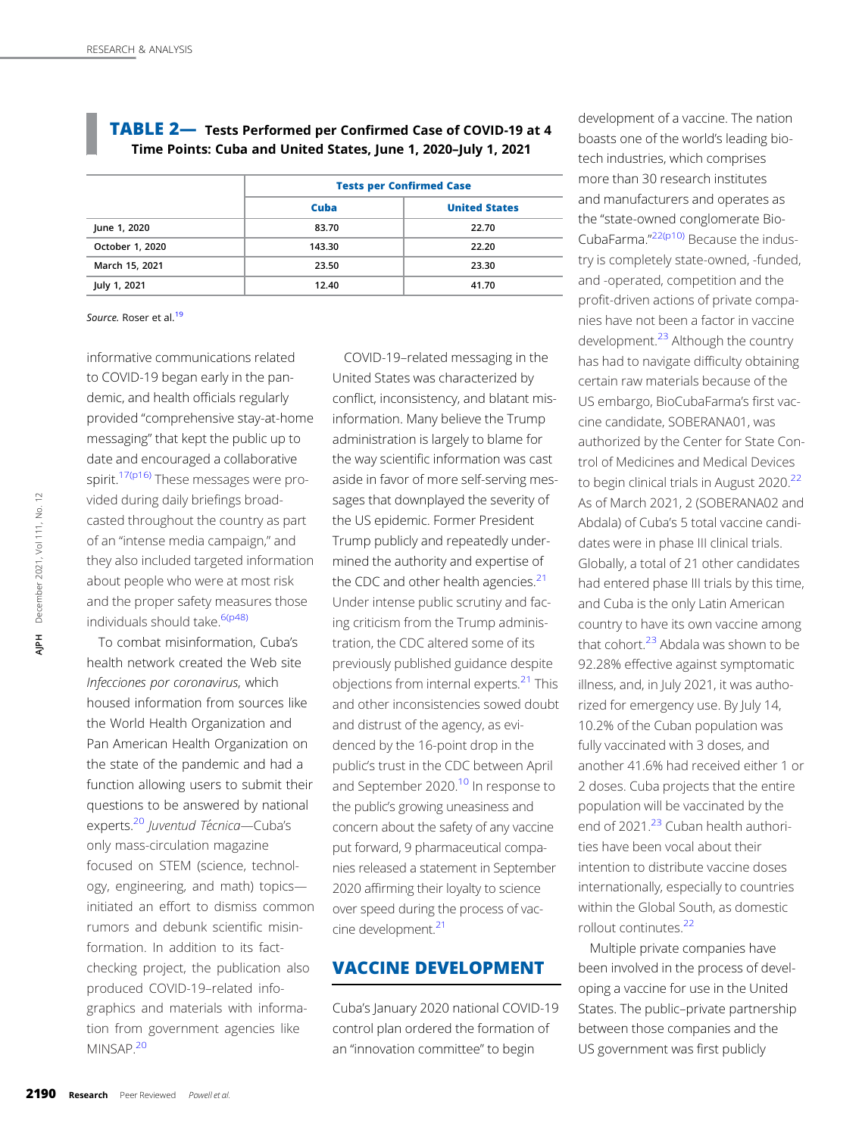|                 | <b>Tests per Confirmed Case</b> |                      |
|-----------------|---------------------------------|----------------------|
|                 | Cuba                            | <b>United States</b> |
| June 1, 2020    | 83.70                           | 22.70                |
| October 1, 2020 | 143.30                          | 22.20                |
| March 15, 2021  | 23.50                           | 23.30                |
| July 1, 2021    | 12.40                           | 41.70                |

<span id="page-4-0"></span>TABLE 2— Tests Performed per Confirmed Case of COVID-19 at 4 Time Points: Cuba and United States, June 1, 2020–July 1, 2021

#### Source. Roser et al.<sup>[19](#page-7-0)</sup>

informative communications related to COVID-19 began early in the pandemic, and health officials regularly provided "comprehensive stay-at-home messaging" that kept the public up to date and encouraged a collaborative spirit.[17\(p16\)](#page-7-0) These messages were provided during daily briefings broadcasted throughout the country as part of an "intense media campaign," and they also included targeted information about people who were at most risk and the proper safety measures those individuals should take. 6(p48)

To combat misinformation, Cuba's health network created the Web site Infecciones por coronavirus, which housed information from sources like the World Health Organization and Pan American Health Organization on the state of the pandemic and had a function allowing users to submit their questions to be answered by national experts.<sup>[20](#page-7-0)</sup> Juventud Técnica-Cuba's only mass-circulation magazine focused on STEM (science, technology, engineering, and math) topics initiated an effort to dismiss common rumors and debunk scientific misinformation. In addition to its factchecking project, the publication also produced COVID-19–related infographics and materials with information from government agencies like MINSAP.[20](#page-7-0) vided during daily briefing<br>
casted throughout the cc<br>
of an "intense media carr<br>
they also included target<br>
about people who were a<br>
and the proper safety me<br>
individuals should take.<sup>64</sup><br>
To combat misinforma<br>
health ne

COVID-19–related messaging in the United States was characterized by conflict, inconsistency, and blatant misinformation. Many believe the Trump administration is largely to blame for the way scientific information was cast aside in favor of more self-serving messages that downplayed the severity of the US epidemic. Former President Trump publicly and repeatedly undermined the authority and expertise of the CDC and other health agencies. $21$ Under intense public scrutiny and facing criticism from the Trump administration, the CDC altered some of its previously published guidance despite objections from internal experts.<sup>[21](#page-7-0)</sup> This and other inconsistencies sowed doubt and distrust of the agency, as evidenced by the 16-point drop in the public's trust in the CDC between April and September 2020.<sup>[10](#page-7-0)</sup> In response to the public's growing uneasiness and concern about the safety of any vaccine put forward, 9 pharmaceutical companies released a statement in September 2020 affirming their loyalty to science over speed during the process of vaccine development.<sup>21</sup>

## VACCINE DEVELOPMENT

Cuba's January 2020 national COVID-19 control plan ordered the formation of an "innovation committee" to begin

development of a vaccine. The nation boasts one of the world's leading biotech industries, which comprises more than 30 research institutes and manufacturers and operates as the "state-owned conglomerate Bio-CubaFarma."<sup>[22\(p10\)](#page-7-0)</sup> Because the industry is completely state-owned, -funded, and -operated, competition and the profit-driven actions of private companies have not been a factor in vaccine development.<sup>23</sup> Although the country has had to navigate difficulty obtaining certain raw materials because of the US embargo, BioCubaFarma's first vaccine candidate, SOBERANA01, was authorized by the Center for State Control of Medicines and Medical Devices to begin clinical trials in August 2020.<sup>[22](#page-7-0)</sup> As of March 2021, 2 (SOBERANA02 and Abdala) of Cuba's 5 total vaccine candidates were in phase III clinical trials. Globally, a total of 21 other candidates had entered phase III trials by this time, and Cuba is the only Latin American country to have its own vaccine among that cohort.<sup>23</sup> Abdala was shown to be 92.28% effective against symptomatic illness, and, in July 2021, it was authorized for emergency use. By July 14, 10.2% of the Cuban population was fully vaccinated with 3 doses, and another 41.6% had received either 1 or 2 doses. Cuba projects that the entire population will be vaccinated by the end of 2021.<sup>[23](#page-7-0)</sup> Cuban health authorities have been vocal about their intention to distribute vaccine doses internationally, especially to countries within the Global South, as domestic rollout continutes[.22](#page-7-0)

Multiple private companies have been involved in the process of developing a vaccine for use in the United States. The public–private partnership between those companies and the US government was first publicly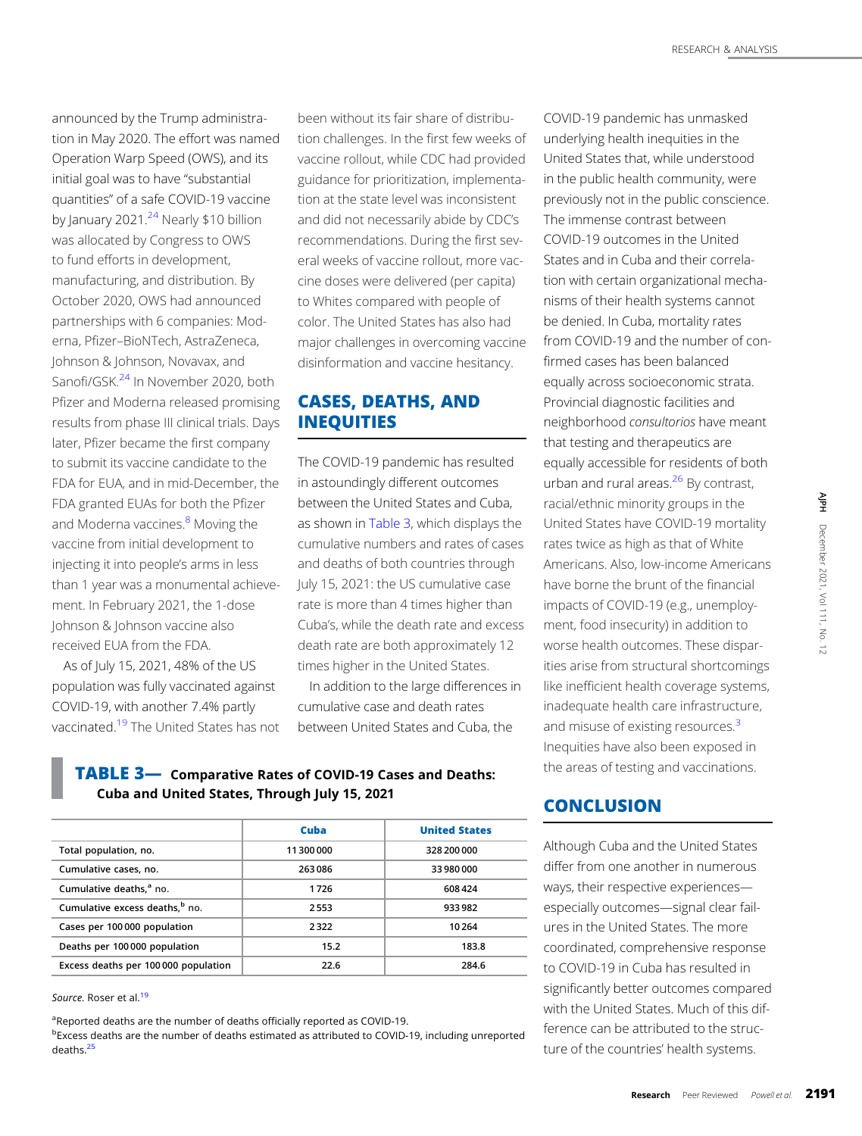announced by the Trump administration in May 2020. The effort was named Operation Warp Speed (OWS), and its initial goal was to have "substantial quantities" of a safe COVID-19 vaccine by January 2021. $^{24}$  $^{24}$  $^{24}$  Nearly \$10 billion was allocated by Congress to OWS to fund efforts in development, manufacturing, and distribution. By October 2020, OWS had announced partnerships with 6 companies: Moderna, Pfizer–BioNTech, AstraZeneca, Johnson & Johnson, Novavax, and Sanofi/GSK.<sup>24</sup> In November 2020, both Pfizer and Moderna released promising results from phase III clinical trials. Days later, Pfizer became the first company to submit its vaccine candidate to the FDA for EUA, and in mid-December, the FDA granted EUAs for both the Pfizer and Moderna vaccines.<sup>[8](#page-6-0)</sup> Moving the vaccine from initial development to injecting it into people's arms in less than 1 year was a monumental achievement. In February 2021, the 1-dose Johnson & Johnson vaccine also received EUA from the FDA.

As of July 15, 2021, 48% of the US population was fully vaccinated against COVID-19, with another 7.4% partly vaccinated[.19](#page-7-0) The United States has not been without its fair share of distribution challenges. In the first few weeks of vaccine rollout, while CDC had provided guidance for prioritization, implementation at the state level was inconsistent and did not necessarily abide by CDC's recommendations. During the first several weeks of vaccine rollout, more vaccine doses were delivered (per capita) to Whites compared with people of color. The United States has also had major challenges in overcoming vaccine disinformation and vaccine hesitancy.

# CASES, DEATHS, AND INEQUITIES

The COVID-19 pandemic has resulted in astoundingly different outcomes between the United States and Cuba, as shown in Table 3, which displays the cumulative numbers and rates of cases and deaths of both countries through July 15, 2021: the US cumulative case rate is more than 4 times higher than Cuba's, while the death rate and excess death rate are both approximately 12 times higher in the United States.

In addition to the large differences in cumulative case and death rates between United States and Cuba, the

TABLE 3— Comparative Rates of COVID-19 Cases and Deaths: Cuba and United States, Through July 15, 2021

|                                            | Cuba     | <b>United States</b> |  |
|--------------------------------------------|----------|----------------------|--|
| Total population, no.                      | 11300000 | 328 200 000          |  |
| Cumulative cases, no.                      | 263086   | 33 980 000           |  |
| Cumulative deaths, <sup>a</sup> no.        | 1726     | 608424               |  |
| Cumulative excess deaths, <sup>b</sup> no. | 2553     | 933982               |  |
| Cases per 100000 population                | 2322     | 10264                |  |
| Deaths per 100000 population               | 15.2     | 183.8                |  |
| Excess deaths per 100 000 population       | 22.6     | 284.6                |  |

Source. Roser et al.<sup>[19](#page-7-0)</sup>

<sup>a</sup>Reported deaths are the number of deaths officially reported as COVID-19. <sup>b</sup>Excess deaths are the number of deaths estimated as attributed to COVID-19, including unreported deaths.[25](#page-7-0)

COVID-19 pandemic has unmasked underlying health inequities in the United States that, while understood in the public health community, were previously not in the public conscience. The immense contrast between COVID-19 outcomes in the United States and in Cuba and their correlation with certain organizational mechanisms of their health systems cannot be denied. In Cuba, mortality rates from COVID-19 and the number of confirmed cases has been balanced equally across socioeconomic strata. Provincial diagnostic facilities and neighborhood consultorios have meant that testing and therapeutics are equally accessible for residents of both urban and rural areas. $26$  By contrast, racial/ethnic minority groups in the United States have COVID-19 mortality rates twice as high as that of White Americans. Also, low-income Americans have borne the brunt of the financial impacts of COVID-19 (e.g., unemployment, food insecurity) in addition to worse health outcomes. These disparities arise from structural shortcomings like inefficient health coverage systems, inadequate health care infrastructure, and misuse of existing resources.<sup>[3](#page-6-0)</sup> Inequities have also been exposed in the areas of testing and vaccinations. mority groups in the<br>
ave COVID-19 mortality<br>
igh as that of White<br>
igh as that of White<br>
by ..., low-income Americans<br>
brunt of the financial<br>
ID-19 (e.g., unemploy-<br>
ccurity) in addition to<br>
atternal shortcomings<br>
ealth

## **CONCLUSION**

Although Cuba and the United States differ from one another in numerous ways, their respective experiences especially outcomes—signal clear failures in the United States. The more coordinated, comprehensive response to COVID-19 in Cuba has resulted in significantly better outcomes compared with the United States. Much of this difference can be attributed to the structure of the countries' health systems.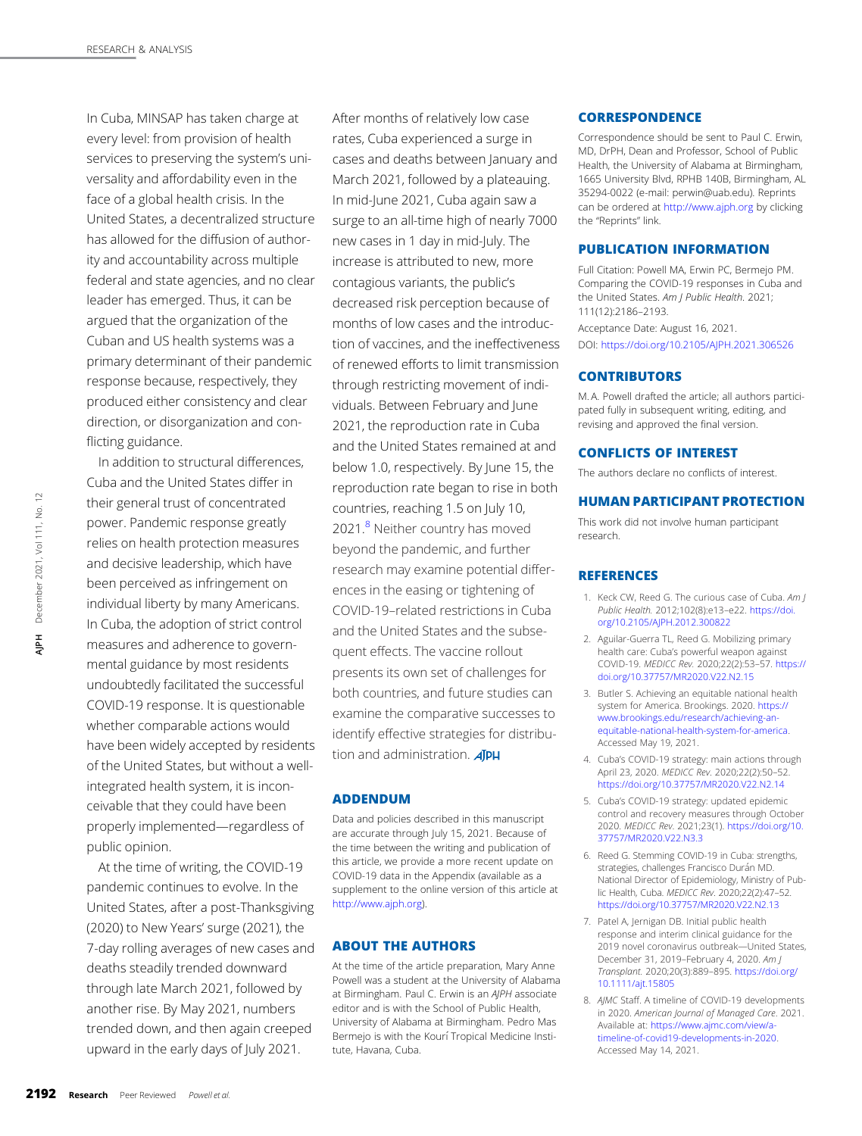<span id="page-6-0"></span>In Cuba, MINSAP has taken charge at every level: from provision of health services to preserving the system's universality and affordability even in the face of a global health crisis. In the United States, a decentralized structure has allowed for the diffusion of authority and accountability across multiple federal and state agencies, and no clear leader has emerged. Thus, it can be argued that the organization of the Cuban and US health systems was a primary determinant of their pandemic response because, respectively, they produced either consistency and clear direction, or disorganization and conflicting guidance.

In addition to structural differences, Cuba and the United States differ in their general trust of concentrated power. Pandemic response greatly relies on health protection measures and decisive leadership, which have been perceived as infringement on individual liberty by many Americans. In Cuba, the adoption of strict control measures and adherence to governmental guidance by most residents undoubtedly facilitated the successful COVID-19 response. It is questionable whether comparable actions would have been widely accepted by residents of the United States, but without a wellintegrated health system, it is inconceivable that they could have been properly implemented—regardless of public opinion. 2192 Research Peer Reviewed Powell and the ether SPA Research Peer Reviewed Box<br>
2192 Research Peer Reviewed December 2021,<br>
2192 Research Peer Reviewed Device 2021,<br>
2192 Research Peer Reviewed Powell et al. Alphabet Dec

At the time of writing, the COVID-19 pandemic continues to evolve. In the United States, after a post-Thanksgiving (2020) to New Years' surge (2021), the 7-day rolling averages of new cases and deaths steadily trended downward through late March 2021, followed by another rise. By May 2021, numbers trended down, and then again creeped upward in the early days of July 2021.

After months of relatively low case rates, Cuba experienced a surge in cases and deaths between January and March 2021, followed by a plateauing. In mid-June 2021, Cuba again saw a surge to an all-time high of nearly 7000 new cases in 1 day in mid-July. The increase is attributed to new, more contagious variants, the public's decreased risk perception because of months of low cases and the introduction of vaccines, and the ineffectiveness of renewed efforts to limit transmission through restricting movement of individuals. Between February and June 2021, the reproduction rate in Cuba and the United States remained at and below 1.0, respectively. By June 15, the reproduction rate began to rise in both countries, reaching 1.5 on July 10, 2021.<sup>8</sup> Neither country has moved beyond the pandemic, and further research may examine potential differences in the easing or tightening of COVID-19–related restrictions in Cuba and the United States and the subsequent effects. The vaccine rollout presents its own set of challenges for both countries, and future studies can examine the comparative successes to identify effective strategies for distribution and administration. **AJPH** 

## ADDENDUM

Data and policies described in this manuscript are accurate through July 15, 2021. Because of the time between the writing and publication of this article, we provide a more recent update on COVID-19 data in the Appendix (available as a supplement to the online version of this article at [http://www.ajph.org\)](http://www.ajph.org).

#### ABOUT THE AUTHORS

At the time of the article preparation, Mary Anne Powell was a student at the University of Alabama at Birmingham. Paul C. Erwin is an AJPH associate editor and is with the School of Public Health, University of Alabama at Birmingham. Pedro Mas Bermejo is with the Kourí Tropical Medicine Institute, Havana, Cuba.

#### **CORRESPONDENCE**

Correspondence should be sent to Paul C. Erwin, MD, DrPH, Dean and Professor, School of Public Health, the University of Alabama at Birmingham, 1665 University Blvd, RPHB 140B, Birmingham, AL 35294-0022 (e-mail: [perwin@uab.edu\)](mailto:perwin@uab.edu). Reprints can be ordered at <http://www.ajph.org> by clicking the "Reprints" link.

## PUBLICATION INFORMATION

Full Citation: Powell MA, Erwin PC, Bermejo PM. Comparing the COVID-19 responses in Cuba and the United States. Am J Public Health. 2021; 111(12):2186–2193. Acceptance Date: August 16, 2021. DOI: <https://doi.org/10.2105/AJPH.2021.306526>

## **CONTRIBUTORS**

M. A. Powell drafted the article; all authors participated fully in subsequent writing, editing, and revising and approved the final version.

#### CONFLICTS OF INTEREST

The authors declare no conflicts of interest.

## HUMAN PARTICIPANT PROTECTION

This work did not involve human participant research.

#### REFERENCES

- 1. Keck CW, Reed G. The curious case of Cuba. Am J Public Health. 2012;102(8):e13–e22. [https://doi.](https://doi.org/10.2105/AJPH.2012.300822) [org/10.2105/AJPH.2012.300822](https://doi.org/10.2105/AJPH.2012.300822)
- 2. Aguilar-Guerra TL, Reed G. Mobilizing primary health care: Cuba's powerful weapon against COVID-19. MEDICC Rev. 2020;22(2):53–57. [https://](https://doi.org/10.37757/MR2020.V22.N2.15) [doi.org/10.37757/MR2020.V22.N2.15](https://doi.org/10.37757/MR2020.V22.N2.15)
- 3. Butler S. Achieving an equitable national health system for America. Brookings. 2020. [https://](https://www.brookings.edu/research/achieving-an-equitable-national-health-system-for-america) [www.brookings.edu/research/achieving-an](https://www.brookings.edu/research/achieving-an-equitable-national-health-system-for-america)[equitable-national-health-system-for-america](https://www.brookings.edu/research/achieving-an-equitable-national-health-system-for-america). Accessed May 19, 2021.
- 4. Cuba's COVID-19 strategy: main actions through April 23, 2020. MEDICC Rev. 2020;22(2):50–52. <https://doi.org/10.37757/MR2020.V22.N2.14>
- 5. Cuba's COVID-19 strategy: updated epidemic control and recovery measures through October 2020. MEDICC Rev. 2021;23(1). [https://doi.org/10.](https://doi.org/10.37757/MR2020.V22.N3.3) [37757/MR2020.V22.N3.3](https://doi.org/10.37757/MR2020.V22.N3.3)
- 6. Reed G. Stemming COVID-19 in Cuba: strengths, strategies, challenges Francisco Durán MD. National Director of Epidemiology, Ministry of Public Health, Cuba. MEDICC Rev. 2020;22(2):47–52. <https://doi.org/10.37757/MR2020.V22.N2.13>
- 7. Patel A, Jernigan DB. Initial public health response and interim clinical guidance for the 2019 novel coronavirus outbreak—United States, December 31, 2019–February 4, 2020. Am J Transplant. 2020;20(3):889–895. [https://doi.org/](https://doi.org/10.1111/ajt.15805) [10.1111/ajt.15805](https://doi.org/10.1111/ajt.15805)
- 8. AJMC Staff. A timeline of COVID-19 developments in 2020. American Journal of Managed Care. 2021. Available at: [https://www.ajmc.com/view/a](https://www.ajmc.com/view/a-timeline-of-covid19-developments-in-2020)[timeline-of-covid19-developments-in-2020](https://www.ajmc.com/view/a-timeline-of-covid19-developments-in-2020). Accessed May 14, 2021.